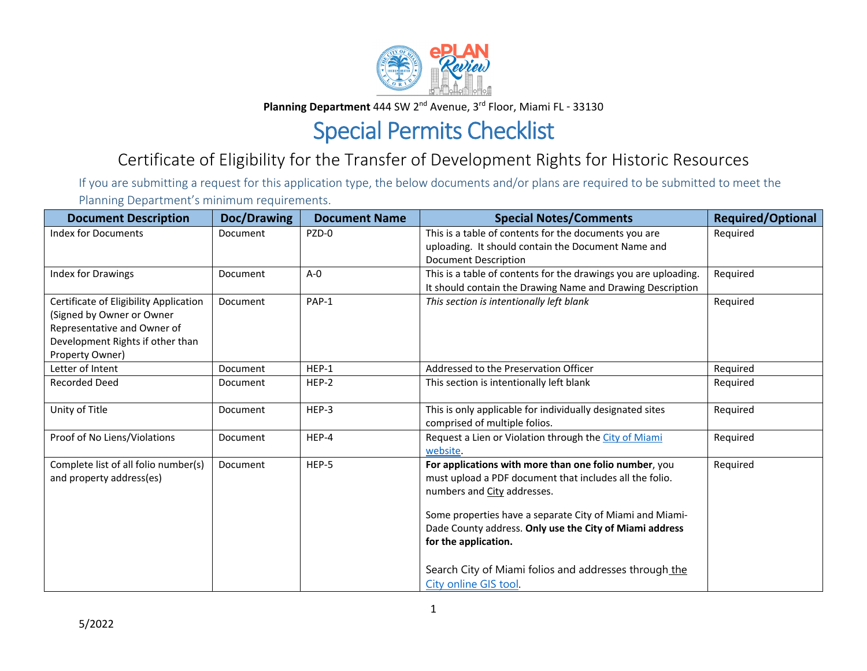

**Planning Department** 444 SW 2<sup>nd</sup> Avenue, 3<sup>rd</sup> Floor, Miami FL - 33130

## Special Permits Checklist

## Certificate of Eligibility for the Transfer of Development Rights for Historic Resources

If you are submitting <sup>a</sup> request for this application type, the below documents and/or plans are required to be submitted to meet the Planning Department's minimum requirements.

| <b>Document Description</b>                                                                                                                               | Doc/Drawing     | <b>Document Name</b> | <b>Special Notes/Comments</b>                                                                                                                                                                                                                                                                                                                                                    | <b>Required/Optional</b> |
|-----------------------------------------------------------------------------------------------------------------------------------------------------------|-----------------|----------------------|----------------------------------------------------------------------------------------------------------------------------------------------------------------------------------------------------------------------------------------------------------------------------------------------------------------------------------------------------------------------------------|--------------------------|
| <b>Index for Documents</b>                                                                                                                                | Document        | PZD-0                | This is a table of contents for the documents you are<br>uploading. It should contain the Document Name and<br><b>Document Description</b>                                                                                                                                                                                                                                       | Required                 |
| Index for Drawings                                                                                                                                        | Document        | $A - 0$              | This is a table of contents for the drawings you are uploading.<br>It should contain the Drawing Name and Drawing Description                                                                                                                                                                                                                                                    | Required                 |
| Certificate of Eligibility Application<br>(Signed by Owner or Owner<br>Representative and Owner of<br>Development Rights if other than<br>Property Owner) | Document        | PAP-1                | This section is intentionally left blank                                                                                                                                                                                                                                                                                                                                         | Required                 |
| Letter of Intent                                                                                                                                          | <b>Document</b> | $HEP-1$              | Addressed to the Preservation Officer                                                                                                                                                                                                                                                                                                                                            | Required                 |
| <b>Recorded Deed</b>                                                                                                                                      | Document        | HEP-2                | This section is intentionally left blank                                                                                                                                                                                                                                                                                                                                         | Required                 |
| Unity of Title                                                                                                                                            | Document        | HEP-3                | This is only applicable for individually designated sites<br>comprised of multiple folios.                                                                                                                                                                                                                                                                                       | Required                 |
| Proof of No Liens/Violations                                                                                                                              | Document        | HEP-4                | Request a Lien or Violation through the City of Miami<br>website.                                                                                                                                                                                                                                                                                                                | Required                 |
| Complete list of all folio number(s)<br>and property address(es)                                                                                          | Document        | HEP-5                | For applications with more than one folio number, you<br>must upload a PDF document that includes all the folio.<br>numbers and City addresses.<br>Some properties have a separate City of Miami and Miami-<br>Dade County address. Only use the City of Miami address<br>for the application.<br>Search City of Miami folios and addresses through the<br>City online GIS tool. | Required                 |